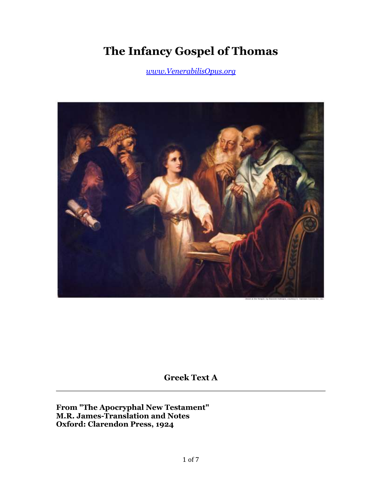## **The Infancy Gospel of Thomas**

*[www.VenerabilisOpus.org](http://www.venerabilisopus.org/)*



**Greek Text A**

**From "The Apocryphal New Testament" M.R. James-Translation and Notes Oxford: Clarendon Press, 1924**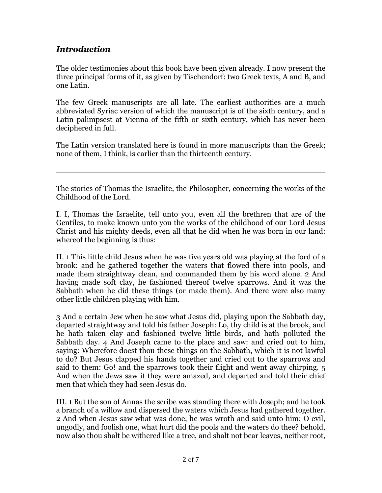## *Introduction*

The older testimonies about this book have been given already. I now present the three principal forms of it, as given by Tischendorf: two Greek texts, A and B, and one Latin.

The few Greek manuscripts are all late. The earliest authorities are a much abbreviated Syriac version of which the manuscript is of the sixth century, and a Latin palimpsest at Vienna of the fifth or sixth century, which has never been deciphered in full.

The Latin version translated here is found in more manuscripts than the Greek; none of them, I think, is earlier than the thirteenth century.

The stories of Thomas the Israelite, the Philosopher, concerning the works of the Childhood of the Lord.

I. I, Thomas the Israelite, tell unto you, even all the brethren that are of the Gentiles, to make known unto you the works of the childhood of our Lord Jesus Christ and his mighty deeds, even all that he did when he was born in our land: whereof the beginning is thus:

II. 1 This little child Jesus when he was five years old was playing at the ford of a brook: and he gathered together the waters that flowed there into pools, and made them straightway clean, and commanded them by his word alone. 2 And having made soft clay, he fashioned thereof twelve sparrows. And it was the Sabbath when he did these things (or made them). And there were also many other little children playing with him.

3 And a certain Jew when he saw what Jesus did, playing upon the Sabbath day, departed straightway and told his father Joseph: Lo, thy child is at the brook, and he hath taken clay and fashioned twelve little birds, and hath polluted the Sabbath day. 4 And Joseph came to the place and saw: and cried out to him, saying: Wherefore doest thou these things on the Sabbath, which it is not lawful to do? But Jesus clapped his hands together and cried out to the sparrows and said to them: Go! and the sparrows took their flight and went away chirping. 5 And when the Jews saw it they were amazed, and departed and told their chief men that which they had seen Jesus do.

III. 1 But the son of Annas the scribe was standing there with Joseph; and he took a branch of a willow and dispersed the waters which Jesus had gathered together. 2 And when Jesus saw what was done, he was wroth and said unto him: O evil, ungodly, and foolish one, what hurt did the pools and the waters do thee? behold, now also thou shalt be withered like a tree, and shalt not bear leaves, neither root,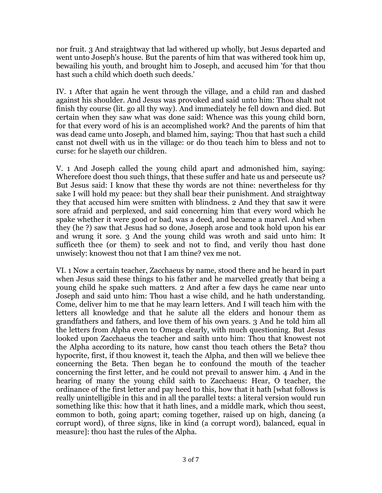nor fruit. 3 And straightway that lad withered up wholly, but Jesus departed and went unto Joseph's house. But the parents of him that was withered took him up, bewailing his youth, and brought him to Joseph, and accused him 'for that thou hast such a child which doeth such deeds.'

IV. 1 After that again he went through the village, and a child ran and dashed against his shoulder. And Jesus was provoked and said unto him: Thou shalt not finish thy course (lit. go all thy way). And immediately he fell down and died. But certain when they saw what was done said: Whence was this young child born, for that every word of his is an accomplished work? And the parents of him that was dead came unto Joseph, and blamed him, saying: Thou that hast such a child canst not dwell with us in the village: or do thou teach him to bless and not to curse: for he slayeth our children.

V. 1 And Joseph called the young child apart and admonished him, saying: Wherefore doest thou such things, that these suffer and hate us and persecute us? But Jesus said: I know that these thy words are not thine: nevertheless for thy sake I will hold my peace: but they shall bear their punishment. And straightway they that accused him were smitten with blindness. 2 And they that saw it were sore afraid and perplexed, and said concerning him that every word which he spake whether it were good or bad, was a deed, and became a marvel. And when they (he ?) saw that Jesus had so done, Joseph arose and took hold upon his ear and wrung it sore. 3 And the young child was wroth and said unto him: It sufficeth thee (or them) to seek and not to find, and verily thou hast done unwisely: knowest thou not that I am thine? vex me not.

VI. 1 Now a certain teacher, Zacchaeus by name, stood there and he heard in part when Jesus said these things to his father and he marvelled greatly that being a young child he spake such matters. 2 And after a few days he came near unto Joseph and said unto him: Thou hast a wise child, and he hath understanding. Come, deliver him to me that he may learn letters. And I will teach him with the letters all knowledge and that he salute all the elders and honour them as grandfathers and fathers, and love them of his own years. 3 And he told him all the letters from Alpha even to Omega clearly, with much questioning. But Jesus looked upon Zacchaeus the teacher and saith unto him: Thou that knowest not the Alpha according to its nature, how canst thou teach others the Beta? thou hypocrite, first, if thou knowest it, teach the Alpha, and then will we believe thee concerning the Beta. Then began he to confound the mouth of the teacher concerning the first letter, and he could not prevail to answer him. 4 And in the hearing of many the young child saith to Zacchaeus: Hear, O teacher, the ordinance of the first letter and pay heed to this, how that it hath [what follows is really unintelligible in this and in all the parallel texts: a literal version would run something like this: how that it hath lines, and a middle mark, which thou seest, common to both, going apart; coming together, raised up on high, dancing (a corrupt word), of three signs, like in kind (a corrupt word), balanced, equal in measure]: thou hast the rules of the Alpha.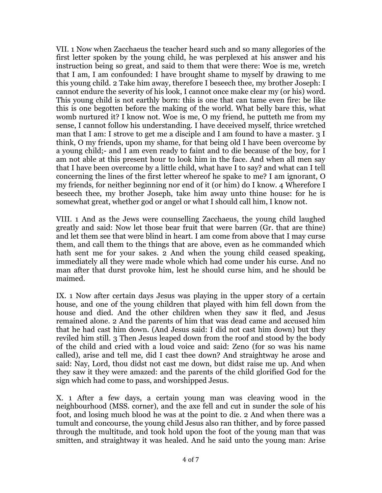VII. 1 Now when Zacchaeus the teacher heard such and so many allegories of the first letter spoken by the young child, he was perplexed at his answer and his instruction being so great, and said to them that were there: Woe is me, wretch that I am, I am confounded: I have brought shame to myself by drawing to me this young child. 2 Take him away, therefore I beseech thee, my brother Joseph: I cannot endure the severity of his look, I cannot once make clear my (or his) word. This young child is not earthly born: this is one that can tame even fire: be like this is one begotten before the making of the world. What belly bare this, what womb nurtured it? I know not. Woe is me, O my friend, he putteth me from my sense, I cannot follow his understanding. I have deceived myself, thrice wretched man that I am: I strove to get me a disciple and I am found to have a master. 3 I think, O my friends, upon my shame, for that being old I have been overcome by a young child;- and I am even ready to faint and to die because of the boy, for I am not able at this present hour to look him in the face. And when all men say that I have been overcome by a little child, what have I to say? and what can I tell concerning the lines of the first letter whereof he spake to me? I am ignorant, O my friends, for neither beginning nor end of it (or him) do I know. 4 Wherefore I beseech thee, my brother Joseph, take him away unto thine house: for he is somewhat great, whether god or angel or what I should call him, I know not.

VIII. 1 And as the Jews were counselling Zacchaeus, the young child laughed greatly and said: Now let those bear fruit that were barren (Gr. that are thine) and let them see that were blind in heart. I am come from above that I may curse them, and call them to the things that are above, even as he commanded which hath sent me for your sakes. 2 And when the young child ceased speaking, immediately all they were made whole which had come under his curse. And no man after that durst provoke him, lest he should curse him, and he should be maimed.

IX. 1 Now after certain days Jesus was playing in the upper story of a certain house, and one of the young children that played with him fell down from the house and died. And the other children when they saw it fled, and Jesus remained alone. 2 And the parents of him that was dead came and accused him that he had cast him down. (And Jesus said: I did not cast him down) but they reviled him still. 3 Then Jesus leaped down from the roof and stood by the body of the child and cried with a loud voice and said: Zeno (for so was his name called), arise and tell me, did I cast thee down? And straightway he arose and said: Nay, Lord, thou didst not cast me down, but didst raise me up. And when they saw it they were amazed: and the parents of the child glorified God for the sign which had come to pass, and worshipped Jesus.

X. 1 After a few days, a certain young man was cleaving wood in the neighbourhood (MSS. corner), and the axe fell and cut in sunder the sole of his foot, and losing much blood he was at the point to die. 2 And when there was a tumult and concourse, the young child Jesus also ran thither, and by force passed through the multitude, and took hold upon the foot of the young man that was smitten, and straightway it was healed. And he said unto the young man: Arise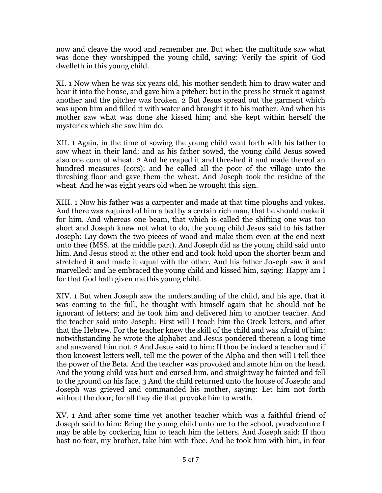now and cleave the wood and remember me. But when the multitude saw what was done they worshipped the young child, saying: Verily the spirit of God dwelleth in this young child.

XI. 1 Now when he was six years old, his mother sendeth him to draw water and bear it into the house, and gave him a pitcher: but in the press he struck it against another and the pitcher was broken. 2 But Jesus spread out the garment which was upon him and filled it with water and brought it to his mother. And when his mother saw what was done she kissed him; and she kept within herself the mysteries which she saw him do.

XII. 1 Again, in the time of sowing the young child went forth with his father to sow wheat in their land: and as his father sowed, the young child Jesus sowed also one corn of wheat. 2 And he reaped it and threshed it and made thereof an hundred measures (cors): and he called all the poor of the village unto the threshing floor and gave them the wheat. And Joseph took the residue of the wheat. And he was eight years old when he wrought this sign.

XIII. 1 Now his father was a carpenter and made at that time ploughs and yokes. And there was required of him a bed by a certain rich man, that he should make it for him. And whereas one beam, that which is called the shifting one was too short and Joseph knew not what to do, the young child Jesus said to his father Joseph: Lay down the two pieces of wood and make them even at the end next unto thee (MSS. at the middle part). And Joseph did as the young child said unto him. And Jesus stood at the other end and took hold upon the shorter beam and stretched it and made it equal with the other. And his father Joseph saw it and marvelled: and he embraced the young child and kissed him, saying: Happy am I for that God hath given me this young child.

XIV. 1 But when Joseph saw the understanding of the child, and his age, that it was coming to the full, he thought with himself again that he should not be ignorant of letters; and he took him and delivered him to another teacher. And the teacher said unto Joseph: First will I teach him the Greek letters, and after that the Hebrew. For the teacher knew the skill of the child and was afraid of him: notwithstanding he wrote the alphabet and Jesus pondered thereon a long time and answered him not. 2 And Jesus said to him: If thou be indeed a teacher and if thou knowest letters well, tell me the power of the Alpha and then will I tell thee the power of the Beta. And the teacher was provoked and smote him on the head. And the young child was hurt and cursed him, and straightway he fainted and fell to the ground on his face. 3 And the child returned unto the house of Joseph: and Joseph was grieved and commanded his mother, saying: Let him not forth without the door, for all they die that provoke him to wrath.

XV. 1 And after some time yet another teacher which was a faithful friend of Joseph said to him: Bring the young child unto me to the school, peradventure I may be able by cockering him to teach him the letters. And Joseph said: If thou hast no fear, my brother, take him with thee. And he took him with him, in fear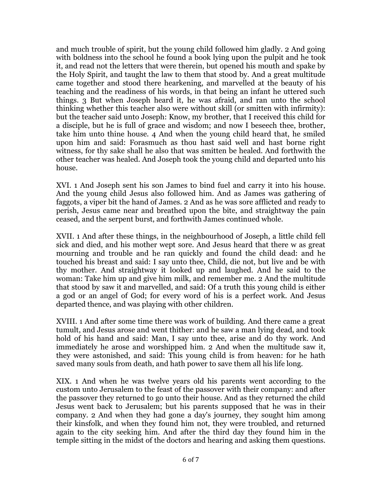and much trouble of spirit, but the young child followed him gladly. 2 And going with boldness into the school he found a book lying upon the pulpit and he took it, and read not the letters that were therein, but opened his mouth and spake by the Holy Spirit, and taught the law to them that stood by. And a great multitude came together and stood there hearkening, and marvelled at the beauty of his teaching and the readiness of his words, in that being an infant he uttered such things. 3 But when Joseph heard it, he was afraid, and ran unto the school thinking whether this teacher also were without skill (or smitten with infirmity): but the teacher said unto Joseph: Know, my brother, that I received this child for a disciple, but he is full of grace and wisdom; and now I beseech thee, brother, take him unto thine house. 4 And when the young child heard that, he smiled upon him and said: Forasmuch as thou hast said well and hast borne right witness, for thy sake shall he also that was smitten be healed. And forthwith the other teacher was healed. And Joseph took the young child and departed unto his house.

XVI. 1 And Joseph sent his son James to bind fuel and carry it into his house. And the young child Jesus also followed him. And as James was gathering of faggots, a viper bit the hand of James. 2 And as he was sore afflicted and ready to perish, Jesus came near and breathed upon the bite, and straightway the pain ceased, and the serpent burst, and forthwith James continued whole.

XVII. 1 And after these things, in the neighbourhood of Joseph, a little child fell sick and died, and his mother wept sore. And Jesus heard that there w as great mourning and trouble and he ran quickly and found the child dead: and he touched his breast and said: I say unto thee, Child, die not, but live and be with thy mother. And straightway it looked up and laughed. And he said to the woman: Take him up and give him milk, and remember me. 2 And the multitude that stood by saw it and marvelled, and said: Of a truth this young child is either a god or an angel of God; for every word of his is a perfect work. And Jesus departed thence, and was playing with other children.

XVIII. 1 And after some time there was work of building. And there came a great tumult, and Jesus arose and went thither: and he saw a man lying dead, and took hold of his hand and said: Man, I say unto thee, arise and do thy work. And immediately he arose and worshipped him. 2 And when the multitude saw it, they were astonished, and said: This young child is from heaven: for he hath saved many souls from death, and hath power to save them all his life long.

XIX. 1 And when he was twelve years old his parents went according to the custom unto Jerusalem to the feast of the passover with their company: and after the passover they returned to go unto their house. And as they returned the child Jesus went back to Jerusalem; but his parents supposed that he was in their company. 2 And when they had gone a day's journey, they sought him among their kinsfolk, and when they found him not, they were troubled, and returned again to the city seeking him. And after the third day they found him in the temple sitting in the midst of the doctors and hearing and asking them questions.